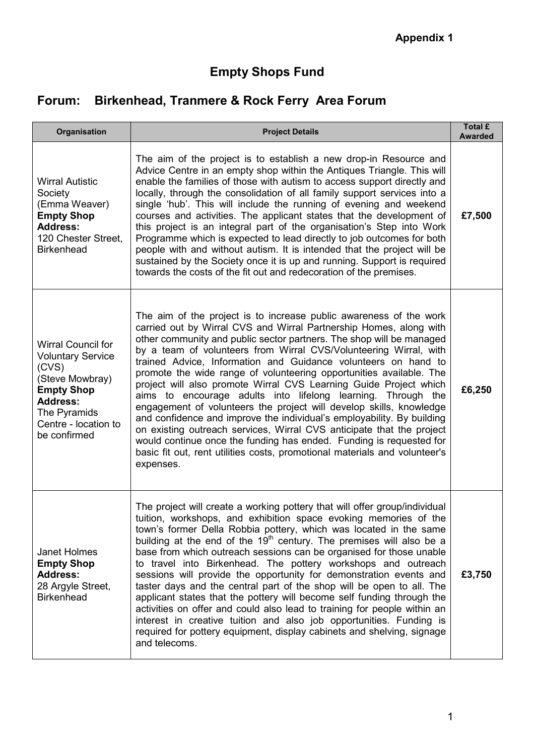## **Empty Shops Fund**

# **Forum: Birkenhead, Tranmere & Rock Ferry Area Forum**

| Organisation                                                                                                                                                                      | <b>Project Details</b>                                                                                                                                                                                                                                                                                                                                                                                                                                                                                                                                                                                                                                                                                                                                                                                                                                                                                                                                          | Total £<br><b>Awarded</b> |
|-----------------------------------------------------------------------------------------------------------------------------------------------------------------------------------|-----------------------------------------------------------------------------------------------------------------------------------------------------------------------------------------------------------------------------------------------------------------------------------------------------------------------------------------------------------------------------------------------------------------------------------------------------------------------------------------------------------------------------------------------------------------------------------------------------------------------------------------------------------------------------------------------------------------------------------------------------------------------------------------------------------------------------------------------------------------------------------------------------------------------------------------------------------------|---------------------------|
| <b>Wirral Autistic</b><br>Society<br>(Emma Weaver)<br><b>Empty Shop</b><br><b>Address:</b><br>120 Chester Street.<br><b>Birkenhead</b>                                            | The aim of the project is to establish a new drop-in Resource and<br>Advice Centre in an empty shop within the Antiques Triangle. This will<br>enable the families of those with autism to access support directly and<br>locally, through the consolidation of all family support services into a<br>single 'hub'. This will include the running of evening and weekend<br>courses and activities. The applicant states that the development of<br>this project is an integral part of the organisation's Step into Work<br>Programme which is expected to lead directly to job outcomes for both<br>people with and without autism. It is intended that the project will be<br>sustained by the Society once it is up and running. Support is required<br>towards the costs of the fit out and redecoration of the premises.                                                                                                                                  | £7,500                    |
| <b>Wirral Council for</b><br><b>Voluntary Service</b><br>(CVS)<br>(Steve Mowbray)<br><b>Empty Shop</b><br><b>Address:</b><br>The Pyramids<br>Centre - location to<br>be confirmed | The aim of the project is to increase public awareness of the work<br>carried out by Wirral CVS and Wirral Partnership Homes, along with<br>other community and public sector partners. The shop will be managed<br>by a team of volunteers from Wirral CVS/Volunteering Wirral, with<br>trained Advice, Information and Guidance volunteers on hand to<br>promote the wide range of volunteering opportunities available. The<br>project will also promote Wirral CVS Learning Guide Project which<br>aims to encourage adults into lifelong learning. Through the<br>engagement of volunteers the project will develop skills, knowledge<br>and confidence and improve the individual's employability. By building<br>on existing outreach services, Wirral CVS anticipate that the project<br>would continue once the funding has ended. Funding is requested for<br>basic fit out, rent utilities costs, promotional materials and volunteer's<br>expenses. | £6,250                    |
| Janet Holmes<br><b>Empty Shop</b><br><b>Address:</b><br>28 Argyle Street,<br><b>Birkenhead</b>                                                                                    | The project will create a working pottery that will offer group/individual<br>tuition, workshops, and exhibition space evoking memories of the<br>town's former Della Robbia pottery, which was located in the same<br>building at the end of the 19 <sup>th</sup> century. The premises will also be a<br>base from which outreach sessions can be organised for those unable<br>to travel into Birkenhead. The pottery workshops and outreach<br>sessions will provide the opportunity for demonstration events and<br>taster days and the central part of the shop will be open to all. The<br>applicant states that the pottery will become self funding through the<br>activities on offer and could also lead to training for people within an<br>interest in creative tuition and also job opportunities. Funding is<br>required for pottery equipment, display cabinets and shelving, signage<br>and telecoms.                                          | £3,750                    |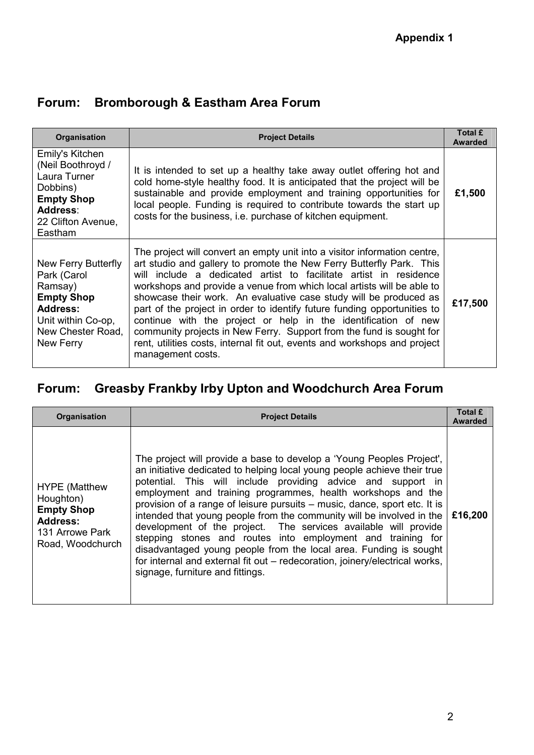| <b>Organisation</b>                                                                                                                           | <b>Project Details</b>                                                                                                                                                                                                                                                                                                                                                                                                                                                                                                                                                                                                                                                                        | Total £<br><b>Awarded</b> |
|-----------------------------------------------------------------------------------------------------------------------------------------------|-----------------------------------------------------------------------------------------------------------------------------------------------------------------------------------------------------------------------------------------------------------------------------------------------------------------------------------------------------------------------------------------------------------------------------------------------------------------------------------------------------------------------------------------------------------------------------------------------------------------------------------------------------------------------------------------------|---------------------------|
| Emily's Kitchen<br>(Neil Boothroyd /<br>Laura Turner<br>Dobbins)<br><b>Empty Shop</b><br>Address:<br>22 Clifton Avenue,<br>Eastham            | It is intended to set up a healthy take away outlet offering hot and<br>cold home-style healthy food. It is anticipated that the project will be<br>sustainable and provide employment and training opportunities for<br>local people. Funding is required to contribute towards the start up<br>costs for the business, i.e. purchase of kitchen equipment.                                                                                                                                                                                                                                                                                                                                  | £1,500                    |
| New Ferry Butterfly<br>Park (Carol<br>Ramsay)<br><b>Empty Shop</b><br><b>Address:</b><br>Unit within Co-op,<br>New Chester Road.<br>New Ferry | The project will convert an empty unit into a visitor information centre,<br>art studio and gallery to promote the New Ferry Butterfly Park. This<br>will include a dedicated artist to facilitate artist in residence<br>workshops and provide a venue from which local artists will be able to<br>showcase their work. An evaluative case study will be produced as<br>part of the project in order to identify future funding opportunities to<br>continue with the project or help in the identification of new<br>community projects in New Ferry. Support from the fund is sought for<br>rent, utilities costs, internal fit out, events and workshops and project<br>management costs. | £17,500                   |

### **Forum: Bromborough & Eastham Area Forum**

# **Forum: Greasby Frankby Irby Upton and Woodchurch Area Forum**

| <b>Organisation</b>                                                                                              | <b>Project Details</b>                                                                                                                                                                                                                                                                                                                                                                                                                                                                                                                                                                                                                                                                                                                                            | Total £<br><b>Awarded</b> |
|------------------------------------------------------------------------------------------------------------------|-------------------------------------------------------------------------------------------------------------------------------------------------------------------------------------------------------------------------------------------------------------------------------------------------------------------------------------------------------------------------------------------------------------------------------------------------------------------------------------------------------------------------------------------------------------------------------------------------------------------------------------------------------------------------------------------------------------------------------------------------------------------|---------------------------|
| <b>HYPE</b> (Matthew<br>Houghton)<br><b>Empty Shop</b><br><b>Address:</b><br>131 Arrowe Park<br>Road, Woodchurch | The project will provide a base to develop a 'Young Peoples Project',<br>an initiative dedicated to helping local young people achieve their true<br>potential. This will include providing advice and support in<br>employment and training programmes, health workshops and the<br>provision of a range of leisure pursuits – music, dance, sport etc. It is<br>intended that young people from the community will be involved in the<br>development of the project. The services available will provide<br>stepping stones and routes into employment and training for<br>disadvantaged young people from the local area. Funding is sought<br>for internal and external fit out – redecoration, joinery/electrical works,<br>signage, furniture and fittings. | £16,200                   |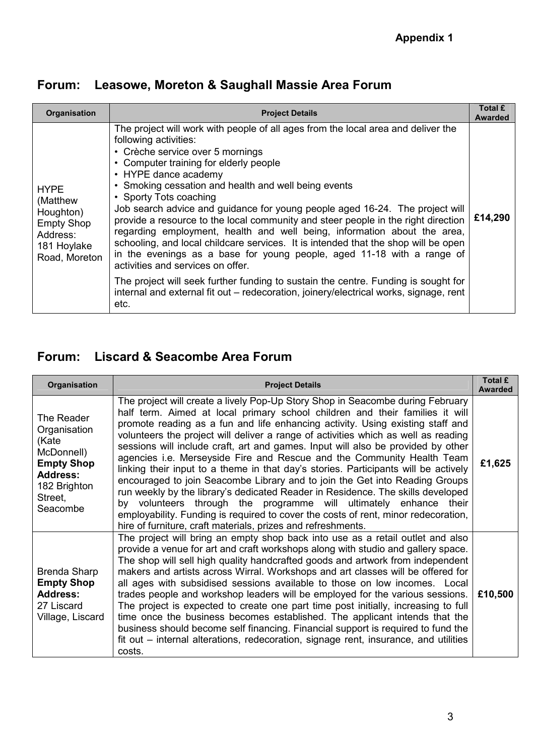| <b>Organisation</b>                                                                                   | <b>Project Details</b>                                                                                                                                                                                                                                                                                                                                                                                                                                                                                                                                                                                                                                                                                                                                                                                                                                                                                                                          | Total £<br><b>Awarded</b> |
|-------------------------------------------------------------------------------------------------------|-------------------------------------------------------------------------------------------------------------------------------------------------------------------------------------------------------------------------------------------------------------------------------------------------------------------------------------------------------------------------------------------------------------------------------------------------------------------------------------------------------------------------------------------------------------------------------------------------------------------------------------------------------------------------------------------------------------------------------------------------------------------------------------------------------------------------------------------------------------------------------------------------------------------------------------------------|---------------------------|
| <b>HYPE</b><br>(Matthew<br>Houghton)<br><b>Empty Shop</b><br>Address:<br>181 Hoylake<br>Road, Moreton | The project will work with people of all ages from the local area and deliver the<br>following activities:<br>• Crèche service over 5 mornings<br>• Computer training for elderly people<br>• HYPE dance academy<br>• Smoking cessation and health and well being events<br>• Sporty Tots coaching<br>Job search advice and guidance for young people aged 16-24. The project will<br>provide a resource to the local community and steer people in the right direction<br>regarding employment, health and well being, information about the area,<br>schooling, and local childcare services. It is intended that the shop will be open<br>in the evenings as a base for young people, aged 11-18 with a range of<br>activities and services on offer.<br>The project will seek further funding to sustain the centre. Funding is sought for<br>internal and external fit out – redecoration, joinery/electrical works, signage, rent<br>etc. | £14,290                   |

## **Forum: Liscard & Seacombe Area Forum**

| <b>Organisation</b>                                                                                                              | <b>Project Details</b>                                                                                                                                                                                                                                                                                                                                                                                                                                                                                                                                                                                                                                                                                                                                                                                                                                                                                                                                                                   | Total £<br><b>Awarded</b> |
|----------------------------------------------------------------------------------------------------------------------------------|------------------------------------------------------------------------------------------------------------------------------------------------------------------------------------------------------------------------------------------------------------------------------------------------------------------------------------------------------------------------------------------------------------------------------------------------------------------------------------------------------------------------------------------------------------------------------------------------------------------------------------------------------------------------------------------------------------------------------------------------------------------------------------------------------------------------------------------------------------------------------------------------------------------------------------------------------------------------------------------|---------------------------|
| The Reader<br>Organisation<br>(Kate<br>McDonnell)<br><b>Empty Shop</b><br><b>Address:</b><br>182 Brighton<br>Street,<br>Seacombe | The project will create a lively Pop-Up Story Shop in Seacombe during February<br>half term. Aimed at local primary school children and their families it will<br>promote reading as a fun and life enhancing activity. Using existing staff and<br>volunteers the project will deliver a range of activities which as well as reading<br>sessions will include craft, art and games. Input will also be provided by other<br>agencies i.e. Merseyside Fire and Rescue and the Community Health Team<br>linking their input to a theme in that day's stories. Participants will be actively<br>encouraged to join Seacombe Library and to join the Get into Reading Groups<br>run weekly by the library's dedicated Reader in Residence. The skills developed<br>by volunteers through the programme will ultimately enhance their<br>employability. Funding is required to cover the costs of rent, minor redecoration,<br>hire of furniture, craft materials, prizes and refreshments. | £1,625                    |
| Brenda Sharp<br><b>Empty Shop</b><br><b>Address:</b><br>27 Liscard<br>Village, Liscard                                           | The project will bring an empty shop back into use as a retail outlet and also<br>provide a venue for art and craft workshops along with studio and gallery space.<br>The shop will sell high quality handcrafted goods and artwork from independent<br>makers and artists across Wirral. Workshops and art classes will be offered for<br>all ages with subsidised sessions available to those on low incomes. Local<br>trades people and workshop leaders will be employed for the various sessions.<br>The project is expected to create one part time post initially, increasing to full<br>time once the business becomes established. The applicant intends that the<br>business should become self financing. Financial support is required to fund the<br>fit out - internal alterations, redecoration, signage rent, insurance, and utilities<br>costs.                                                                                                                         | £10,500                   |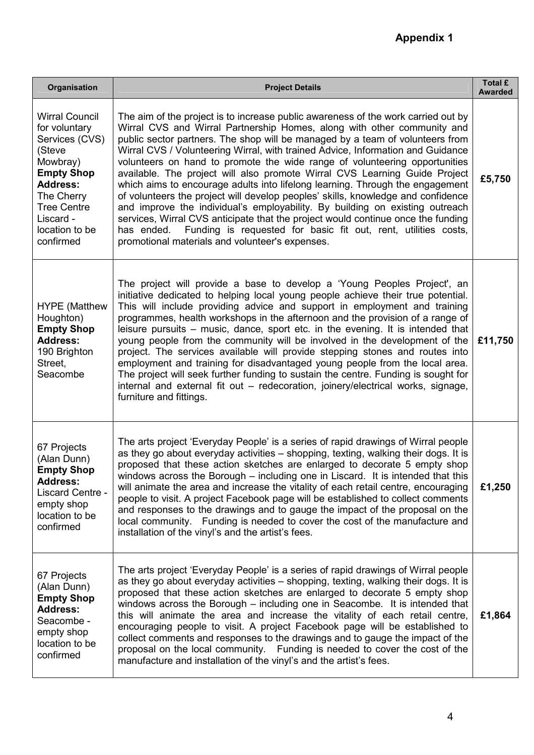| Organisation                                                                                                                                                                                           | <b>Project Details</b>                                                                                                                                                                                                                                                                                                                                                                                                                                                                                                                                                                                                                                                                                                                                                                                                                                                                                                                                                   | Total £<br><b>Awarded</b> |
|--------------------------------------------------------------------------------------------------------------------------------------------------------------------------------------------------------|--------------------------------------------------------------------------------------------------------------------------------------------------------------------------------------------------------------------------------------------------------------------------------------------------------------------------------------------------------------------------------------------------------------------------------------------------------------------------------------------------------------------------------------------------------------------------------------------------------------------------------------------------------------------------------------------------------------------------------------------------------------------------------------------------------------------------------------------------------------------------------------------------------------------------------------------------------------------------|---------------------------|
| <b>Wirral Council</b><br>for voluntary<br>Services (CVS)<br>(Steve<br>Mowbray)<br><b>Empty Shop</b><br><b>Address:</b><br>The Cherry<br><b>Tree Centre</b><br>Liscard -<br>location to be<br>confirmed | The aim of the project is to increase public awareness of the work carried out by<br>Wirral CVS and Wirral Partnership Homes, along with other community and<br>public sector partners. The shop will be managed by a team of volunteers from<br>Wirral CVS / Volunteering Wirral, with trained Advice, Information and Guidance<br>volunteers on hand to promote the wide range of volunteering opportunities<br>available. The project will also promote Wirral CVS Learning Guide Project<br>which aims to encourage adults into lifelong learning. Through the engagement<br>of volunteers the project will develop peoples' skills, knowledge and confidence<br>and improve the individual's employability. By building on existing outreach<br>services, Wirral CVS anticipate that the project would continue once the funding<br>Funding is requested for basic fit out, rent, utilities costs,<br>has ended.<br>promotional materials and volunteer's expenses. | £5,750                    |
| <b>HYPE</b> (Matthew<br>Houghton)<br><b>Empty Shop</b><br><b>Address:</b><br>190 Brighton<br>Street,<br>Seacombe                                                                                       | The project will provide a base to develop a 'Young Peoples Project', an<br>initiative dedicated to helping local young people achieve their true potential.<br>This will include providing advice and support in employment and training<br>programmes, health workshops in the afternoon and the provision of a range of<br>leisure pursuits – music, dance, sport etc. in the evening. It is intended that<br>young people from the community will be involved in the development of the<br>project. The services available will provide stepping stones and routes into<br>employment and training for disadvantaged young people from the local area.<br>The project will seek further funding to sustain the centre. Funding is sought for<br>internal and external fit out – redecoration, joinery/electrical works, signage,<br>furniture and fittings.                                                                                                          | £11,750                   |
| 67 Projects<br>(Alan Dunn)<br><b>Empty Shop</b><br><b>Address:</b><br>Liscard Centre -<br>empty shop<br>location to be<br>confirmed                                                                    | The arts project 'Everyday People' is a series of rapid drawings of Wirral people<br>as they go about everyday activities - shopping, texting, walking their dogs. It is<br>proposed that these action sketches are enlarged to decorate 5 empty shop<br>windows across the Borough – including one in Liscard. It is intended that this<br>will animate the area and increase the vitality of each retail centre, encouraging<br>people to visit. A project Facebook page will be established to collect comments<br>and responses to the drawings and to gauge the impact of the proposal on the<br>local community. Funding is needed to cover the cost of the manufacture and<br>installation of the vinyl's and the artist's fees.                                                                                                                                                                                                                                  | £1,250                    |
| 67 Projects<br>(Alan Dunn)<br><b>Empty Shop</b><br><b>Address:</b><br>Seacombe -<br>empty shop<br>location to be<br>confirmed                                                                          | The arts project 'Everyday People' is a series of rapid drawings of Wirral people<br>as they go about everyday activities - shopping, texting, walking their dogs. It is<br>proposed that these action sketches are enlarged to decorate 5 empty shop<br>windows across the Borough $-$ including one in Seacombe. It is intended that<br>this will animate the area and increase the vitality of each retail centre,<br>encouraging people to visit. A project Facebook page will be established to<br>collect comments and responses to the drawings and to gauge the impact of the<br>proposal on the local community. Funding is needed to cover the cost of the<br>manufacture and installation of the vinyl's and the artist's fees.                                                                                                                                                                                                                               | £1,864                    |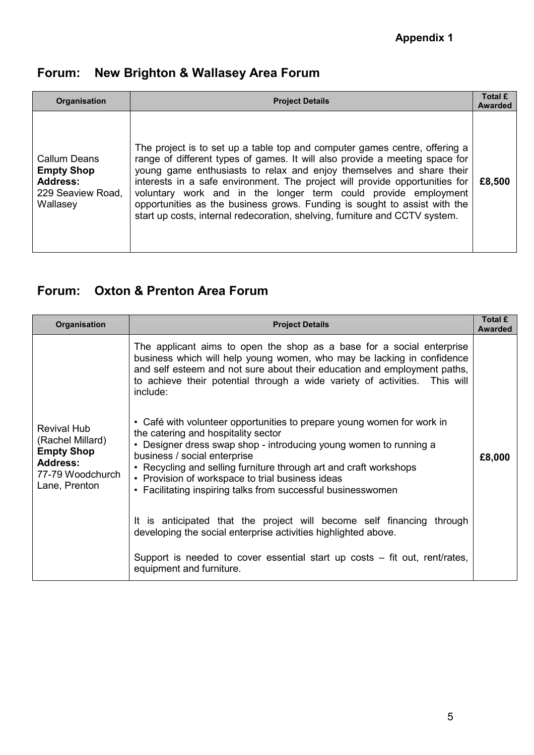## **Forum: New Brighton & Wallasey Area Forum**

| Organisation                                                                                 | <b>Project Details</b>                                                                                                                                                                                                                                                                                                                                                                                                                                                                                                                         | Total £<br><b>Awarded</b> |
|----------------------------------------------------------------------------------------------|------------------------------------------------------------------------------------------------------------------------------------------------------------------------------------------------------------------------------------------------------------------------------------------------------------------------------------------------------------------------------------------------------------------------------------------------------------------------------------------------------------------------------------------------|---------------------------|
| <b>Callum Deans</b><br><b>Empty Shop</b><br><b>Address:</b><br>229 Seaview Road,<br>Wallasey | The project is to set up a table top and computer games centre, offering a<br>range of different types of games. It will also provide a meeting space for<br>young game enthusiasts to relax and enjoy themselves and share their<br>interests in a safe environment. The project will provide opportunities for<br>voluntary work and in the longer term could provide employment<br>opportunities as the business grows. Funding is sought to assist with the<br>start up costs, internal redecoration, shelving, furniture and CCTV system. | £8,500                    |

#### **Forum: Oxton & Prenton Area Forum**

| Organisation                                                                                                        | <b>Project Details</b>                                                                                                                                                                                                                                                                                                                                                                                      | Total £<br><b>Awarded</b> |
|---------------------------------------------------------------------------------------------------------------------|-------------------------------------------------------------------------------------------------------------------------------------------------------------------------------------------------------------------------------------------------------------------------------------------------------------------------------------------------------------------------------------------------------------|---------------------------|
| <b>Revival Hub</b><br>(Rachel Millard)<br><b>Empty Shop</b><br><b>Address:</b><br>77-79 Woodchurch<br>Lane, Prenton | The applicant aims to open the shop as a base for a social enterprise<br>business which will help young women, who may be lacking in confidence<br>and self esteem and not sure about their education and employment paths,<br>to achieve their potential through a wide variety of activities. This will<br>include:                                                                                       | £8,000                    |
|                                                                                                                     | • Café with volunteer opportunities to prepare young women for work in<br>the catering and hospitality sector<br>• Designer dress swap shop - introducing young women to running a<br>business / social enterprise<br>• Recycling and selling furniture through art and craft workshops<br>• Provision of workspace to trial business ideas<br>• Facilitating inspiring talks from successful businesswomen |                           |
|                                                                                                                     | It is anticipated that the project will become self financing through<br>developing the social enterprise activities highlighted above.                                                                                                                                                                                                                                                                     |                           |
|                                                                                                                     | Support is needed to cover essential start up costs – fit out, rent/rates,<br>equipment and furniture.                                                                                                                                                                                                                                                                                                      |                           |